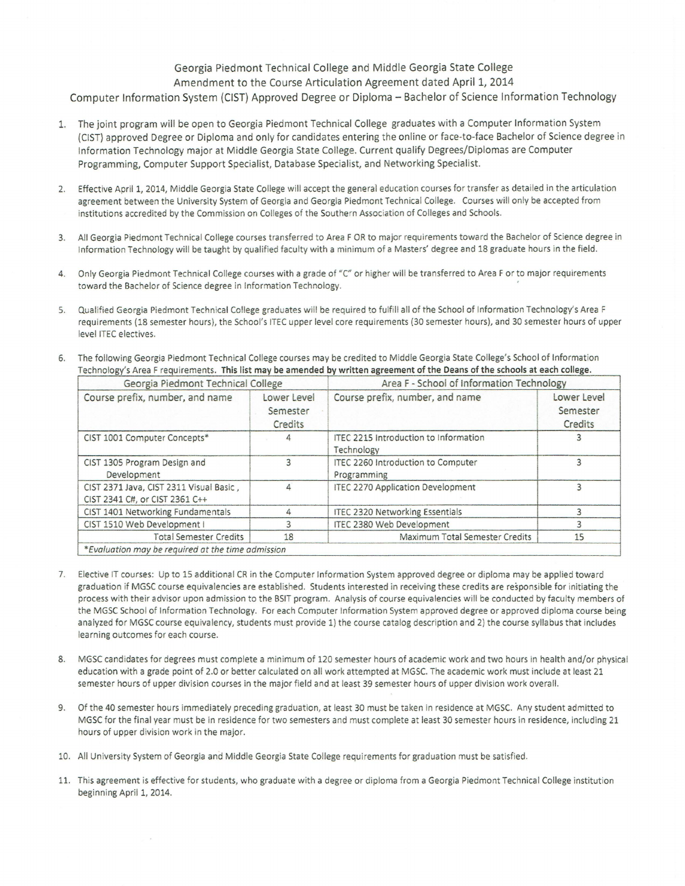## Georgia Piedmont Technical College and Middle Georgia State College Amendment to the Course Articulation Agreement dated April 1, 2014 Computer Information System (CIST) Approved Degree or Diploma - Bachelor of Science Information Technology

- 1. The joint program will be open to Georgia Piedmont Technical College graduates with a Computer Information System (CIST) approved Degree or Diploma and only for candidates entering the online or face-to-face Bachelor of Science degree in Information Technology major at Middle Georgia State College. Current qualify Degrees/Diplomas are Computer Programming, Computer Support Specialist, Database Specialist, and Networking Specialist.
- 2. Effective April 1, 2014, Middle Georgia State College will accept the general education courses for transfer as detailed in the articulation agreement between the University System of Georgia and Georgia Piedmont Technical College. Courses will only be accepted from institutions accredited by the Commission on Colleges of the Southern Association of Colleges and Schools.
- 3. All Georgia Piedmont Technical College courses transferred to Area FOR to major requirements toward the Bachelor of Science degree in Information Technology will be taught by qualified faculty with a minimum of a Masters' degree and 18 graduate hours in the field.
- 4. Only Georgia Piedmont Technical College courses with a grade of "C" or higher will be transferred to Area F or to major requirements toward the Bachelor of Science degree in Information Technology.
- 5. Qualified Georgia Piedmont Technical College graduates will be required to fulfill all of the School of Information Technology's Area F requirements (18 semester hours), the School's ITEC upper level core requirements (30 semester hours), and 30 semester hours of upper level ITEC electives.
- 6. The following Georgia Piedmont Technical College courses may be credited to Middle Georgia State College's School of Information Technology's Area F requirements. This list may be amended by written agreement of the Deans of the schools at each college.

| Georgia Piedmont Technical College                                        |                                    | Area F - School of Information Technology           |                                    |
|---------------------------------------------------------------------------|------------------------------------|-----------------------------------------------------|------------------------------------|
| Course prefix, number, and name                                           | Lower Level<br>Semester<br>Credits | Course prefix, number, and name                     | Lower Level<br>Semester<br>Credits |
| CIST 1001 Computer Concepts*                                              |                                    | ITEC 2215 Introduction to Information<br>Technology |                                    |
| CIST 1305 Program Design and<br>Development                               |                                    | ITEC 2260 Introduction to Computer<br>Programming   |                                    |
| CIST 2371 Java, CIST 2311 Visual Basic,<br>CIST 2341 C#, or CIST 2361 C++ | Δ                                  | <b>ITEC 2270 Application Development</b>            |                                    |
| CIST 1401 Networking Fundamentals                                         | Δ                                  | <b>ITEC 2320 Networking Essentials</b>              |                                    |
| CIST 1510 Web Development I                                               |                                    | <b>ITEC 2380 Web Development</b>                    |                                    |
| <b>Total Semester Credits</b>                                             | 18                                 | Maximum Total Semester Credits                      | 15                                 |
| *Evaluation may be required at the time admission                         |                                    |                                                     |                                    |

- 7. Elective IT courses: Up to 15 additional CR in the Computer Information System approved degree or diploma may be applied toward graduation if MGSC course equivalencies are established. Students interested in receiving these credits are responsible for initiating the process with their advisor upon admission to the BSIT program. Analysis of course equivalencies will be conducted by faculty members of the MGSC School of Information Technology. For each Computer Information System approved degree or approved diploma course being analyzed for MGSC course equivalency, students must provide 1) the course catalog description and 2) the course syllabus that includes learning outcomes for each course.
- 8. MGSC candidates for degrees must complete a minimum of 120 semester hours of academic work and two hours in health and/or physical education with a grade point of 2.0 or better calculated on all work attempted at MGSC. The academic work must include at least 21 semester hours of upper division courses in the major field and at least 39 semester hours of upper division work overall.
- 9. Of the 40 semester hours immediately preceding graduation, at least 30 must be taken in residence at MGSC. Any student admitted to MGSC for the final year must be in residence for two semesters and must complete at least 30 semester hours in residence, including 21 hours of upper division work in the major.
- 10. All Un iversity System of Georgia and Middle Georgia State College requi rements for graduation must be satisfied.
- 11. This agreement is effective for students, who graduate with a degree or diploma from a Georgia Piedmont Technical College institution beginning April 1, 2014.